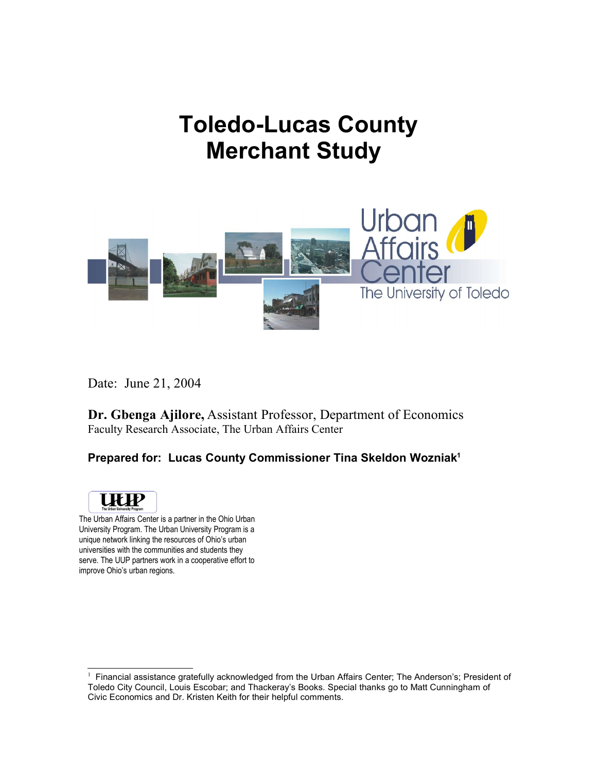# **Toledo-Lucas County Merchant Study**



Date: June 21, 2004

**Dr. Gbenga Ajilore,** Assistant Professor, Department of Economics Faculty Research Associate, The Urban Affairs Center

# **Prepared for: Lucas County Commissioner Tina Skeldon Wozniak 1**



The Urban Affairs Center is a partner in the Ohio Urban University Program. The Urban University Program is a unique network linking the resources of Ohio's urban universities with the communities and students they serve. The UUP partners work in a cooperative effort to improve Ohio's urban regions.

 $1$  Financial assistance gratefully acknowledged from the Urban Affairs Center; The Anderson's; President of Toledo City Council, Louis Escobar; and Thackeray's Books. Special thanks go to Matt Cunningham of Civic Economics and Dr. Kristen Keith for their helpful comments.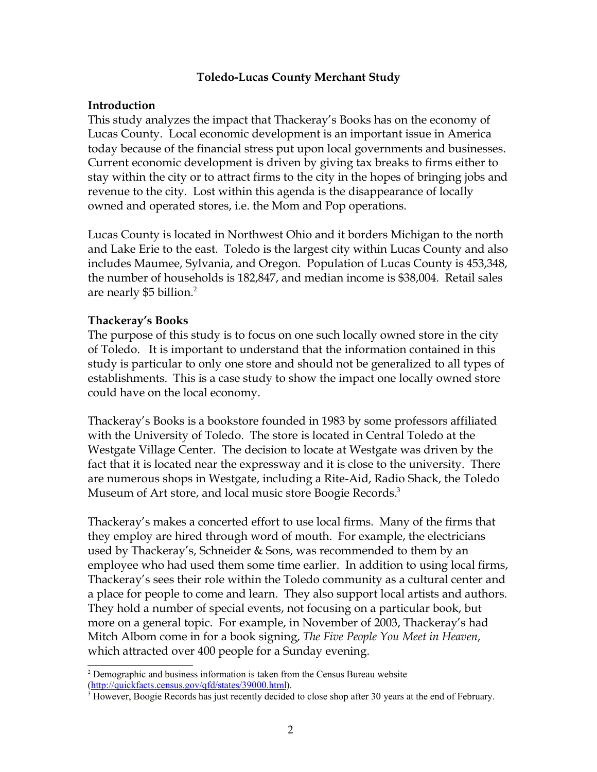#### **Toledo-Lucas County Merchant Study**

#### **Introduction**

This study analyzes the impact that Thackeray's Books has on the economy of Lucas County. Local economic development is an important issue in America today because of the financial stress put upon local governments and businesses. Current economic development is driven by giving tax breaks to firms either to stay within the city or to attract firms to the city in the hopes of bringing jobs and revenue to the city. Lost within this agenda is the disappearance of locally owned and operated stores, i.e. the Mom and Pop operations.

Lucas County is located in Northwest Ohio and it borders Michigan to the north and Lake Erie to the east. Toledo is the largest city within Lucas County and also includes Maumee, Sylvania, and Oregon. Population of Lucas County is 453,348, the number of households is 182,847, and median income is \$38,004. Retail sales are nearly \$5 billion. $2$ 

### **Thackeray's Books**

The purpose of this study is to focus on one such locally owned store in the city of Toledo. It is important to understand that the information contained in this study is particular to only one store and should not be generalized to all types of establishments. This is a case study to show the impact one locally owned store could have on the local economy.

Thackeray's Books is a bookstore founded in 1983 by some professors affiliated with the University of Toledo. The store is located in Central Toledo at the Westgate Village Center. The decision to locate at Westgate was driven by the fact that it is located near the expressway and it is close to the university. There are numerous shops in Westgate, including a Rite-Aid, Radio Shack, the Toledo Museum of Art store, and local music store Boogie Records.<sup>3</sup>

Thackeray's makes a concerted effort to use local firms. Many of the firms that they employ are hired through word of mouth. For example, the electricians used by Thackeray's, Schneider & Sons, was recommended to them by an employee who had used them some time earlier. In addition to using local firms, Thackeray's sees their role within the Toledo community as a cultural center and a place for people to come and learn. They also support local artists and authors. They hold a number of special events, not focusing on a particular book, but more on a general topic. For example, in November of 2003, Thackeray's had Mitch Albom come in for a book signing, *The Five People You Meet in Heaven*, which attracted over 400 people for a Sunday evening.

<sup>&</sup>lt;sup>2</sup> Demographic and business information is taken from the Census Bureau website (http://quickfacts.census.gov/qfd/states/39000.html).

<sup>&</sup>lt;sup>3</sup> However, Boogie Records has just recently decided to close shop after 30 years at the end of February.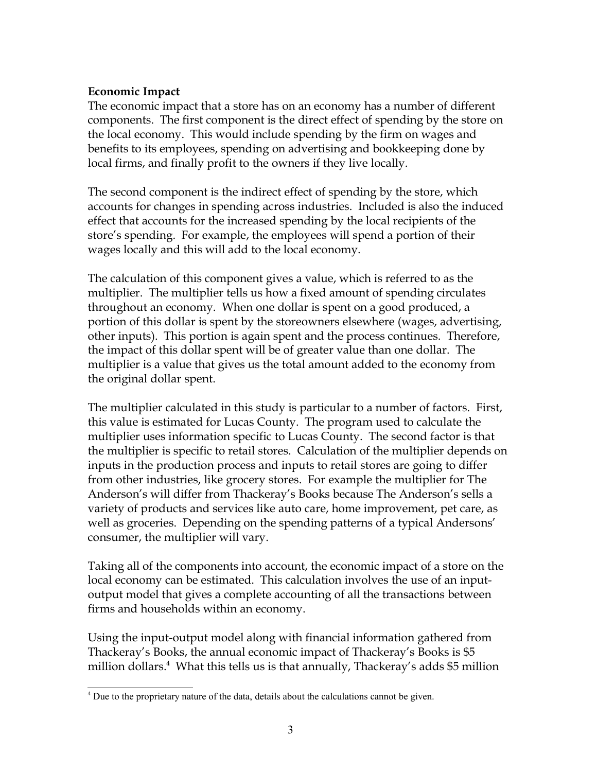### **Economic Impact**

The economic impact that a store has on an economy has a number of different components. The first component is the direct effect of spending by the store on the local economy. This would include spending by the firm on wages and benefits to its employees, spending on advertising and bookkeeping done by local firms, and finally profit to the owners if they live locally.

The second component is the indirect effect of spending by the store, which accounts for changes in spending across industries. Included is also the induced effect that accounts for the increased spending by the local recipients of the store's spending. For example, the employees will spend a portion of their wages locally and this will add to the local economy.

The calculation of this component gives a value, which is referred to as the multiplier. The multiplier tells us how a fixed amount of spending circulates throughout an economy. When one dollar is spent on a good produced, a portion of this dollar is spent by the storeowners elsewhere (wages, advertising, other inputs). This portion is again spent and the process continues. Therefore, the impact of this dollar spent will be of greater value than one dollar. The multiplier is a value that gives us the total amount added to the economy from the original dollar spent.

The multiplier calculated in this study is particular to a number of factors. First, this value is estimated for Lucas County. The program used to calculate the multiplier uses information specific to Lucas County. The second factor is that the multiplier is specific to retail stores. Calculation of the multiplier depends on inputs in the production process and inputs to retail stores are going to differ from other industries, like grocery stores. For example the multiplier for The Anderson's will differ from Thackeray's Books because The Anderson's sells a variety of products and services like auto care, home improvement, pet care, as well as groceries. Depending on the spending patterns of a typical Andersons' consumer, the multiplier will vary.

Taking all of the components into account, the economic impact of a store on the local economy can be estimated. This calculation involves the use of an inputoutput model that gives a complete accounting of all the transactions between firms and households within an economy.

Using the input-output model along with financial information gathered from Thackeray's Books, the annual economic impact of Thackeray's Books is \$5 million dollars.<sup>4</sup> What this tells us is that annually, Thackeray's adds \$5 million

<sup>&</sup>lt;sup>4</sup> Due to the proprietary nature of the data, details about the calculations cannot be given.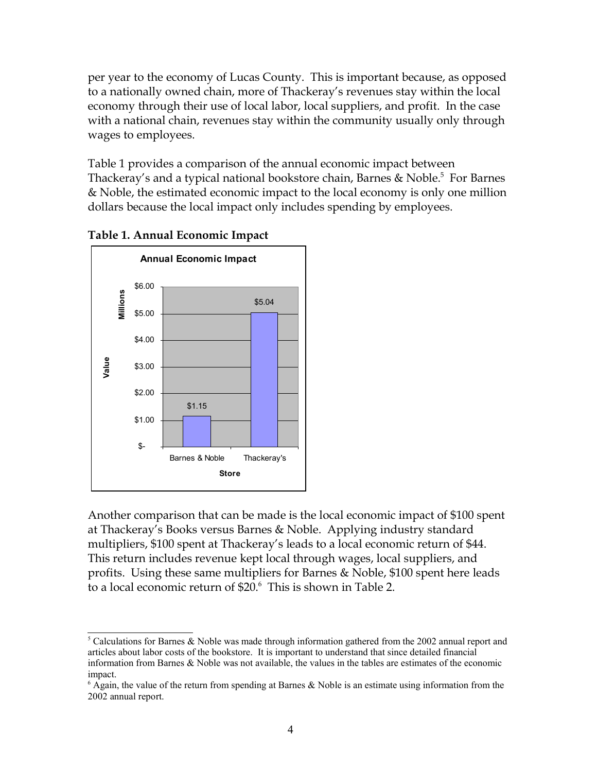per year to the economy of Lucas County. This is important because, as opposed to a nationally owned chain, more of Thackeray's revenues stay within the local economy through their use of local labor, local suppliers, and profit. In the case with a national chain, revenues stay within the community usually only through wages to employees.

Table 1 provides a comparison of the annual economic impact between Thackeray's and a typical national bookstore chain, Barnes & Noble.<sup>5</sup> For Barnes & Noble, the estimated economic impact to the local economy is only one million dollars because the local impact only includes spending by employees.



## **Table 1. Annual Economic Impact**

Another comparison that can be made is the local economic impact of \$100 spent at Thackeray's Books versus Barnes & Noble. Applying industry standard multipliers, \$100 spent at Thackeray's leads to a local economic return of \$44. This return includes revenue kept local through wages, local suppliers, and profits. Using these same multipliers for Barnes & Noble, \$100 spent here leads to a local economic return of \$20.<sup>6</sup> This is shown in Table 2.

 $5$  Calculations for Barnes & Noble was made through information gathered from the 2002 annual report and articles about labor costs of the bookstore. It is important to understand that since detailed financial information from Barnes & Noble was not available, the values in the tables are estimates of the economic impact.

 $6$  Again, the value of the return from spending at Barnes & Noble is an estimate using information from the 2002 annual report.